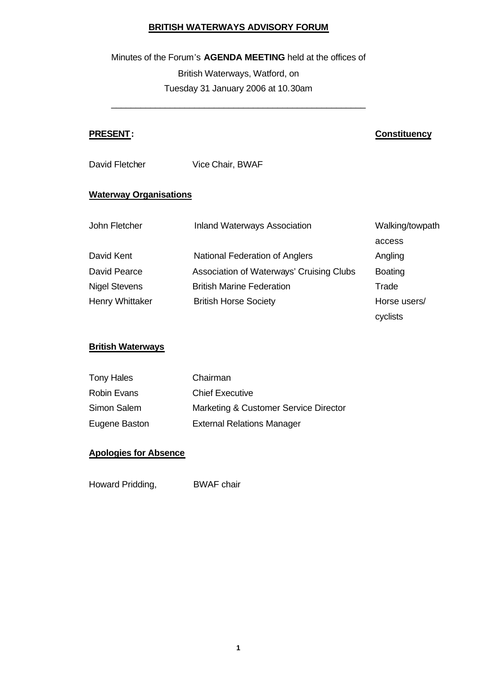# **BRITISH WATERWAYS ADVISORY FORUM**

### Minutes of the Forum's **AGENDA MEETING** held at the offices of

British Waterways, Watford, on Tuesday 31 January 2006 at 10.30am

\_\_\_\_\_\_\_\_\_\_\_\_\_\_\_\_\_\_\_\_\_\_\_\_\_\_\_\_\_\_\_\_\_\_\_\_\_\_\_\_\_\_\_\_\_\_\_\_\_\_\_\_

# **PRESENT: Constituency**

David Fletcher Vice Chair, BWAF

# **Waterway Organisations**

| John Fletcher        | <b>Inland Waterways Association</b>      | Walking/towpath |
|----------------------|------------------------------------------|-----------------|
|                      |                                          | access          |
| David Kent           | National Federation of Anglers           | Angling         |
| David Pearce         | Association of Waterways' Cruising Clubs | <b>Boating</b>  |
| <b>Nigel Stevens</b> | <b>British Marine Federation</b>         | Trade           |
| Henry Whittaker      | <b>British Horse Society</b>             | Horse users/    |
|                      |                                          | cyclists        |

# **British Waterways**

| <b>Tony Hales</b>  | Chairman                              |
|--------------------|---------------------------------------|
| <b>Robin Evans</b> | <b>Chief Executive</b>                |
| Simon Salem        | Marketing & Customer Service Director |
| Eugene Baston      | <b>External Relations Manager</b>     |

# **Apologies for Absence**

Howard Pridding, BWAF chair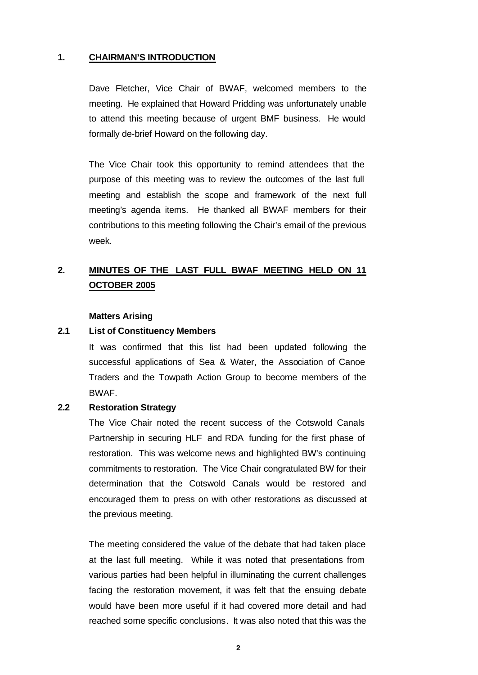#### **1. CHAIRMAN'S INTRODUCTION**

Dave Fletcher, Vice Chair of BWAF, welcomed members to the meeting. He explained that Howard Pridding was unfortunately unable to attend this meeting because of urgent BMF business. He would formally de-brief Howard on the following day.

The Vice Chair took this opportunity to remind attendees that the purpose of this meeting was to review the outcomes of the last full meeting and establish the scope and framework of the next full meeting's agenda items. He thanked all BWAF members for their contributions to this meeting following the Chair's email of the previous week.

# **2. MINUTES OF THE LAST FULL BWAF MEETING HELD ON 11 OCTOBER 2005**

#### **Matters Arising**

#### **2.1 List of Constituency Members**

It was confirmed that this list had been updated following the successful applications of Sea & Water, the Association of Canoe Traders and the Towpath Action Group to become members of the BWAF.

#### **2.2 Restoration Strategy**

The Vice Chair noted the recent success of the Cotswold Canals Partnership in securing HLF and RDA funding for the first phase of restoration. This was welcome news and highlighted BW's continuing commitments to restoration. The Vice Chair congratulated BW for their determination that the Cotswold Canals would be restored and encouraged them to press on with other restorations as discussed at the previous meeting.

The meeting considered the value of the debate that had taken place at the last full meeting. While it was noted that presentations from various parties had been helpful in illuminating the current challenges facing the restoration movement, it was felt that the ensuing debate would have been more useful if it had covered more detail and had reached some specific conclusions. It was also noted that this was the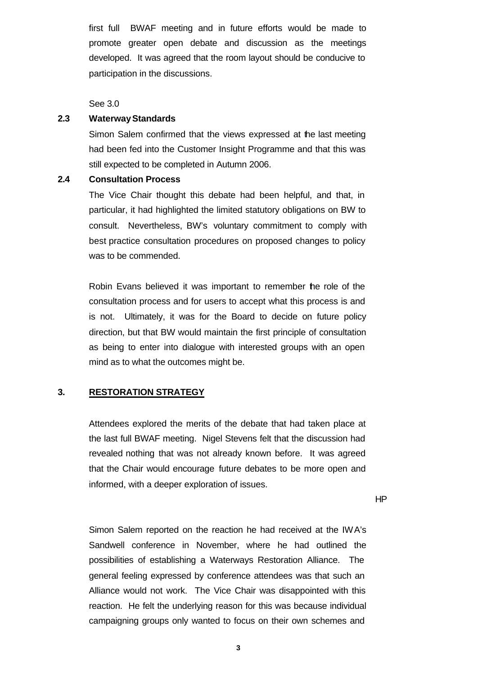first full BWAF meeting and in future efforts would be made to promote greater open debate and discussion as the meetings developed. It was agreed that the room layout should be conducive to participation in the discussions.

See 3.0

#### **2.3 Waterway Standards**

Simon Salem confirmed that the views expressed at the last meeting had been fed into the Customer Insight Programme and that this was still expected to be completed in Autumn 2006.

#### **2.4 Consultation Process**

The Vice Chair thought this debate had been helpful, and that, in particular, it had highlighted the limited statutory obligations on BW to consult. Nevertheless, BW's voluntary commitment to comply with best practice consultation procedures on proposed changes to policy was to be commended.

Robin Evans believed it was important to remember the role of the consultation process and for users to accept what this process is and is not. Ultimately, it was for the Board to decide on future policy direction, but that BW would maintain the first principle of consultation as being to enter into dialogue with interested groups with an open mind as to what the outcomes might be.

# **3. RESTORATION STRATEGY**

Attendees explored the merits of the debate that had taken place at the last full BWAF meeting. Nigel Stevens felt that the discussion had revealed nothing that was not already known before. It was agreed that the Chair would encourage future debates to be more open and informed, with a deeper exploration of issues.

HP

Simon Salem reported on the reaction he had received at the IWA's Sandwell conference in November, where he had outlined the possibilities of establishing a Waterways Restoration Alliance. The general feeling expressed by conference attendees was that such an Alliance would not work. The Vice Chair was disappointed with this reaction. He felt the underlying reason for this was because individual campaigning groups only wanted to focus on their own schemes and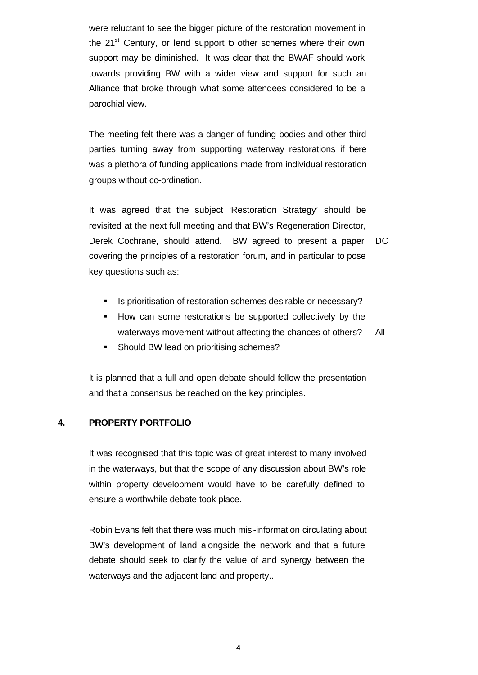were reluctant to see the bigger picture of the restoration movement in the 21<sup>st</sup> Century, or lend support to other schemes where their own support may be diminished. It was clear that the BWAF should work towards providing BW with a wider view and support for such an Alliance that broke through what some attendees considered to be a parochial view.

The meeting felt there was a danger of funding bodies and other third parties turning away from supporting waterway restorations if here was a plethora of funding applications made from individual restoration groups without co-ordination.

It was agreed that the subject 'Restoration Strategy' should be revisited at the next full meeting and that BW's Regeneration Director, Derek Cochrane, should attend. BW agreed to present a paper covering the principles of a restoration forum, and in particular to pose key questions such as: DC

- ß Is prioritisation of restoration schemes desirable or necessary?
- **How can some restorations be supported collectively by the** waterways movement without affecting the chances of others? All
- **Should BW lead on prioritising schemes?**

It is planned that a full and open debate should follow the presentation and that a consensus be reached on the key principles.

# **4. PROPERTY PORTFOLIO**

It was recognised that this topic was of great interest to many involved in the waterways, but that the scope of any discussion about BW's role within property development would have to be carefully defined to ensure a worthwhile debate took place.

Robin Evans felt that there was much mis -information circulating about BW's development of land alongside the network and that a future debate should seek to clarify the value of and synergy between the waterways and the adjacent land and property..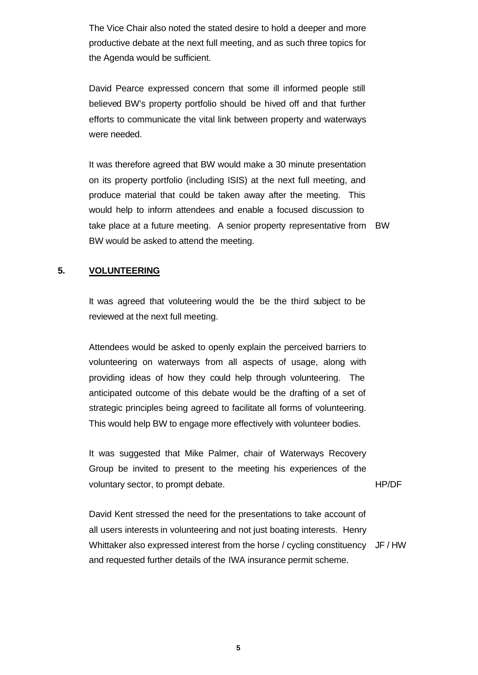The Vice Chair also noted the stated desire to hold a deeper and more productive debate at the next full meeting, and as such three topics for the Agenda would be sufficient.

David Pearce expressed concern that some ill informed people still believed BW's property portfolio should be hived off and that further efforts to communicate the vital link between property and waterways were needed.

It was therefore agreed that BW would make a 30 minute presentation on its property portfolio (including ISIS) at the next full meeting, and produce material that could be taken away after the meeting. This would help to inform attendees and enable a focused discussion to take place at a future meeting. A senior property representative from BW BW would be asked to attend the meeting.

## **5. VOLUNTEERING**

It was agreed that voluteering would the be the third subject to be reviewed at the next full meeting.

Attendees would be asked to openly explain the perceived barriers to volunteering on waterways from all aspects of usage, along with providing ideas of how they could help through volunteering. The anticipated outcome of this debate would be the drafting of a set of strategic principles being agreed to facilitate all forms of volunteering. This would help BW to engage more effectively with volunteer bodies.

It was suggested that Mike Palmer, chair of Waterways Recovery Group be invited to present to the meeting his experiences of the voluntary sector, to prompt debate.

HP/DF

David Kent stressed the need for the presentations to take account of all users interests in volunteering and not just boating interests. Henry Whittaker also expressed interest from the horse / cycling constituency JF / HW and requested further details of the IWA insurance permit scheme.

**5**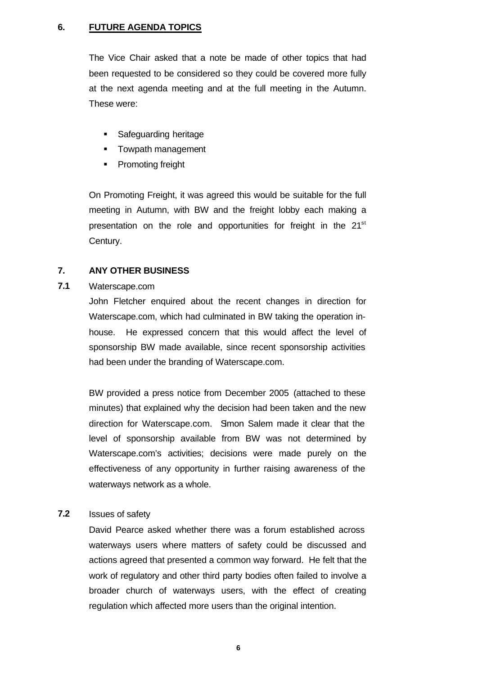# **6. FUTURE AGENDA TOPICS**

The Vice Chair asked that a note be made of other topics that had been requested to be considered so they could be covered more fully at the next agenda meeting and at the full meeting in the Autumn. These were:

- **Safeguarding heritage**
- **F** Towpath management
- Promoting freight

On Promoting Freight, it was agreed this would be suitable for the full meeting in Autumn, with BW and the freight lobby each making a presentation on the role and opportunities for freight in the 21<sup>st</sup> Century.

#### **7. ANY OTHER BUSINESS**

# **7.1** Waterscape.com

John Fletcher enquired about the recent changes in direction for Waterscape.com, which had culminated in BW taking the operation inhouse. He expressed concern that this would affect the level of sponsorship BW made available, since recent sponsorship activities had been under the branding of Waterscape.com.

BW provided a press notice from December 2005 (attached to these minutes) that explained why the decision had been taken and the new direction for Waterscape.com. Simon Salem made it clear that the level of sponsorship available from BW was not determined by Waterscape.com's activities; decisions were made purely on the effectiveness of any opportunity in further raising awareness of the waterways network as a whole.

# **7.2** Issues of safety

David Pearce asked whether there was a forum established across waterways users where matters of safety could be discussed and actions agreed that presented a common way forward. He felt that the work of regulatory and other third party bodies often failed to involve a broader church of waterways users, with the effect of creating regulation which affected more users than the original intention.